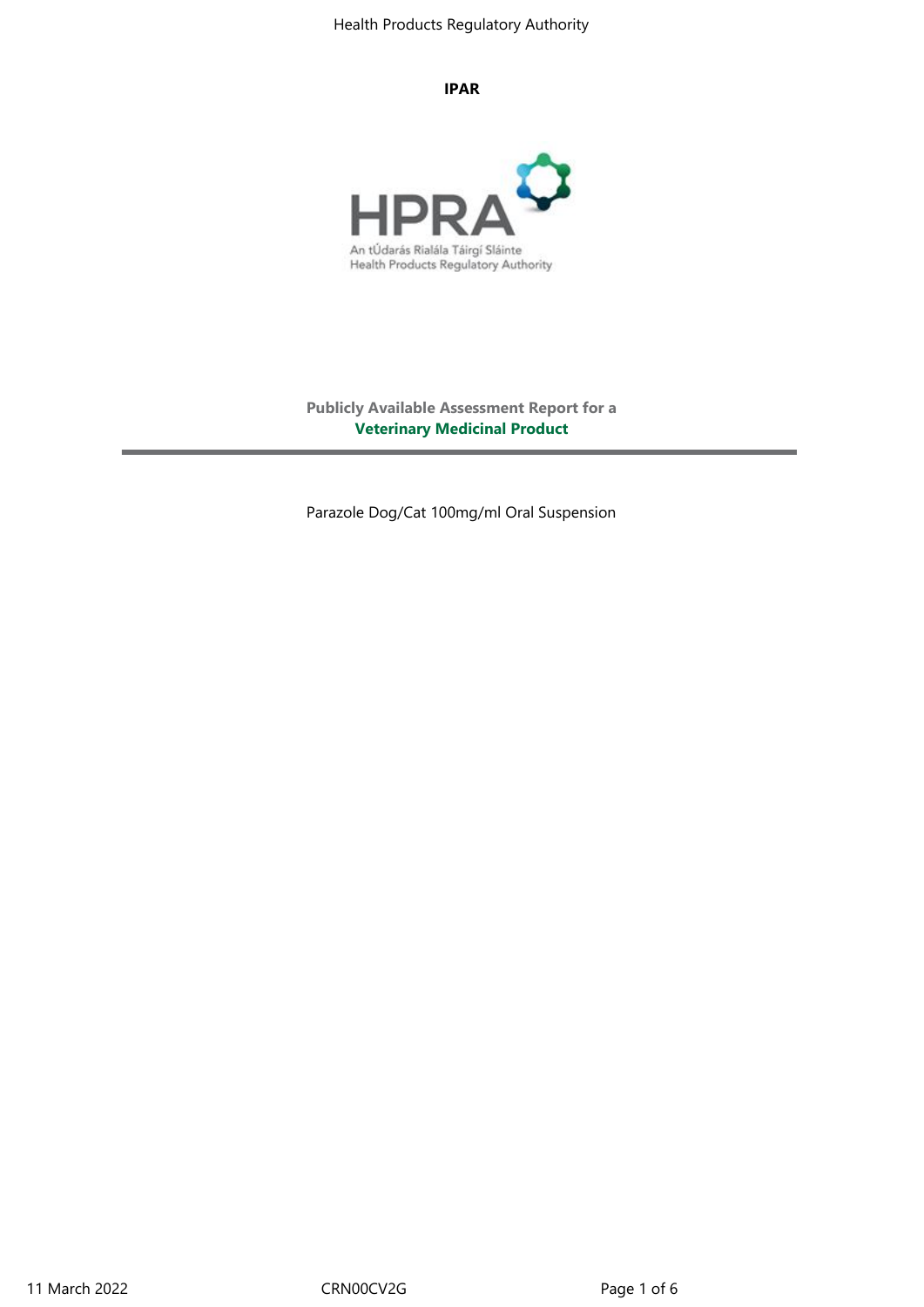#### **IPAR**



**Publicly Available Assessment Report for a Veterinary Medicinal Product**

Parazole Dog/Cat 100mg/ml Oral Suspension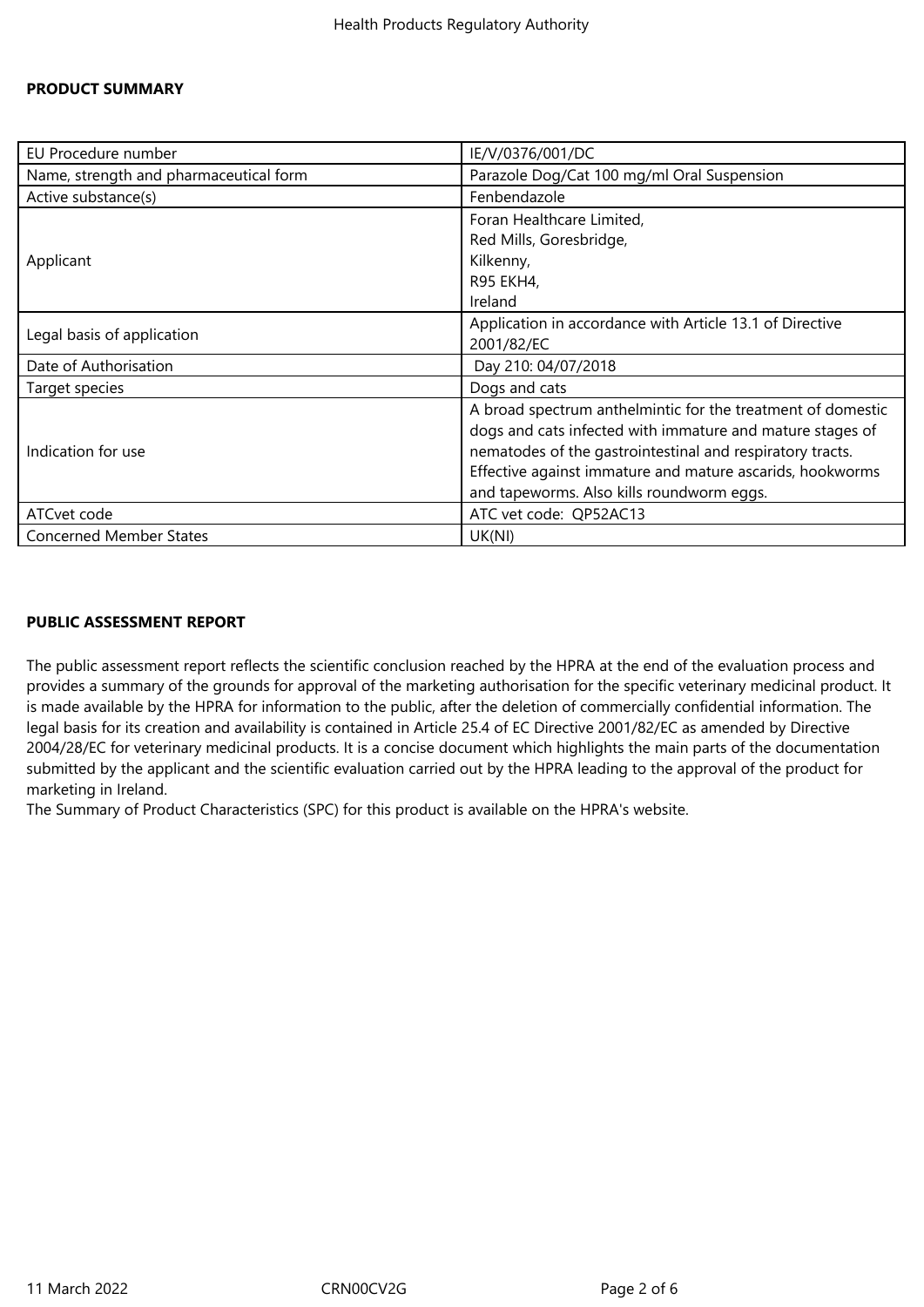### **PRODUCT SUMMARY**

| EU Procedure number                    | IE/V/0376/001/DC                                            |
|----------------------------------------|-------------------------------------------------------------|
| Name, strength and pharmaceutical form | Parazole Dog/Cat 100 mg/ml Oral Suspension                  |
| Active substance(s)                    | Fenbendazole                                                |
| Applicant                              | Foran Healthcare Limited,                                   |
|                                        | Red Mills, Goresbridge,                                     |
|                                        | Kilkenny,                                                   |
|                                        | R95 EKH4,                                                   |
|                                        | Ireland                                                     |
| Legal basis of application             | Application in accordance with Article 13.1 of Directive    |
|                                        | 2001/82/EC                                                  |
| Date of Authorisation                  | Day 210: 04/07/2018                                         |
| Target species                         | Dogs and cats                                               |
| Indication for use                     | A broad spectrum anthelmintic for the treatment of domestic |
|                                        | dogs and cats infected with immature and mature stages of   |
|                                        | nematodes of the gastrointestinal and respiratory tracts.   |
|                                        | Effective against immature and mature ascarids, hookworms   |
|                                        | and tapeworms. Also kills roundworm eggs.                   |
| ATCvet code                            | ATC vet code: QP52AC13                                      |
| <b>Concerned Member States</b>         | UK(NI)                                                      |

### **PUBLIC ASSESSMENT REPORT**

The public assessment report reflects the scientific conclusion reached by the HPRA at the end of the evaluation process and provides a summary of the grounds for approval of the marketing authorisation for the specific veterinary medicinal product. It is made available by the HPRA for information to the public, after the deletion of commercially confidential information. The legal basis for its creation and availability is contained in Article 25.4 of EC Directive 2001/82/EC as amended by Directive 2004/28/EC for veterinary medicinal products. It is a concise document which highlights the main parts of the documentation submitted by the applicant and the scientific evaluation carried out by the HPRA leading to the approval of the product for marketing in Ireland.

The Summary of Product Characteristics (SPC) for this product is available on the HPRA's website.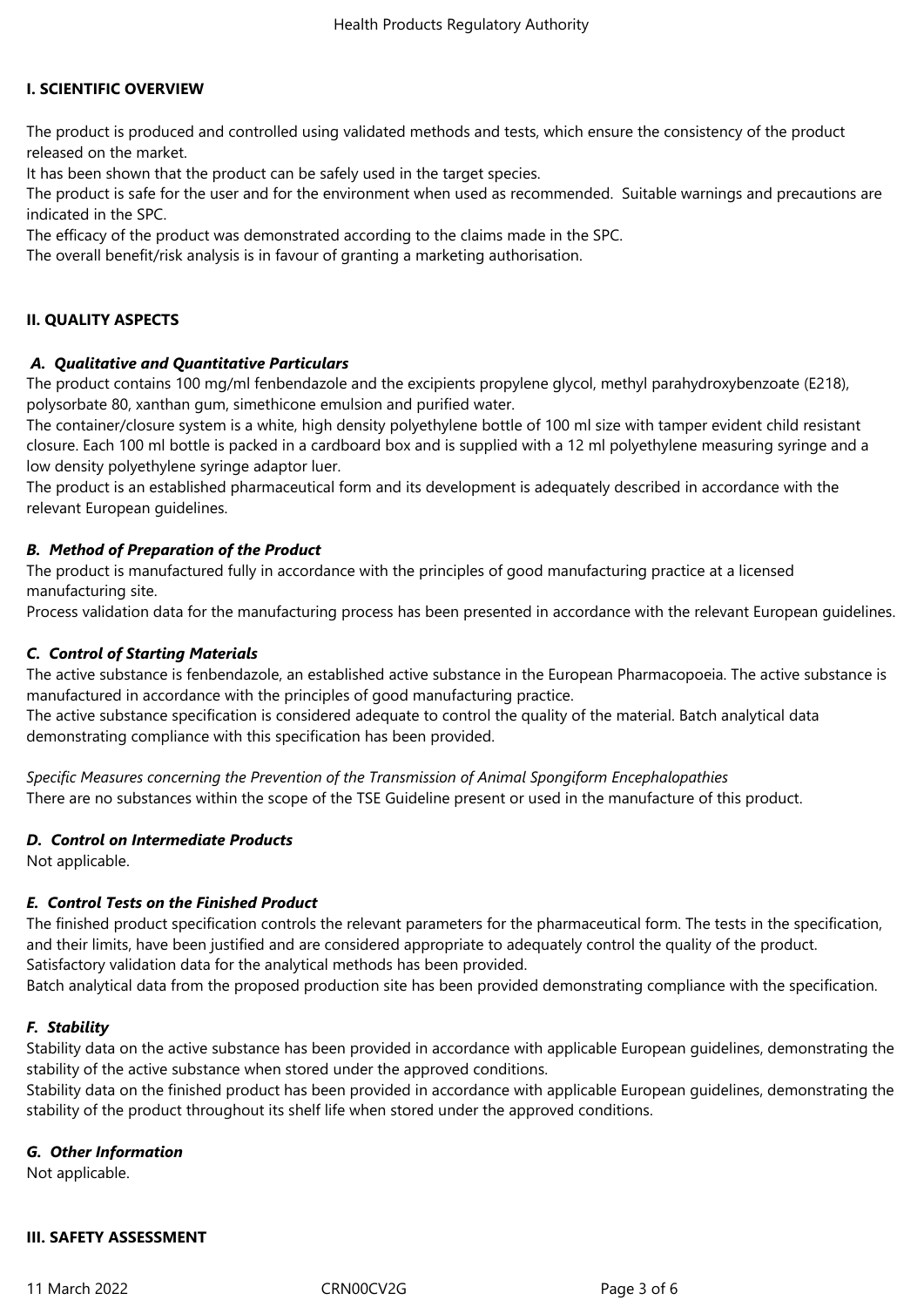## **I. SCIENTIFIC OVERVIEW**

The product is produced and controlled using validated methods and tests, which ensure the consistency of the product released on the market.

It has been shown that the product can be safely used in the target species.

The product is safe for the user and for the environment when used as recommended. Suitable warnings and precautions are indicated in the SPC.

The efficacy of the product was demonstrated according to the claims made in the SPC.

The overall benefit/risk analysis is in favour of granting a marketing authorisation.

## **II. QUALITY ASPECTS**

### *A. Qualitative and Quantitative Particulars*

The product contains 100 mg/ml fenbendazole and the excipients propylene glycol, methyl parahydroxybenzoate (E218), polysorbate 80, xanthan gum, simethicone emulsion and purified water.

The container/closure system is a white, high density polyethylene bottle of 100 ml size with tamper evident child resistant closure. Each 100 ml bottle is packed in a cardboard box and is supplied with a 12 ml polyethylene measuring syringe and a low density polyethylene syringe adaptor luer.

The product is an established pharmaceutical form and its development is adequately described in accordance with the relevant European guidelines.

### *B. Method of Preparation of the Product*

The product is manufactured fully in accordance with the principles of good manufacturing practice at a licensed manufacturing site.

Process validation data for the manufacturing process has been presented in accordance with the relevant European guidelines.

### *C. Control of Starting Materials*

The active substance is fenbendazole, an established active substance in the European Pharmacopoeia. The active substance is manufactured in accordance with the principles of good manufacturing practice.

The active substance specification is considered adequate to control the quality of the material. Batch analytical data demonstrating compliance with this specification has been provided.

*Specific Measures concerning the Prevention of the Transmission of Animal Spongiform Encephalopathies* There are no substances within the scope of the TSE Guideline present or used in the manufacture of this product.

### *D. Control on Intermediate Products*

Not applicable.

### *E. Control Tests on the Finished Product*

The finished product specification controls the relevant parameters for the pharmaceutical form. The tests in the specification, and their limits, have been justified and are considered appropriate to adequately control the quality of the product. Satisfactory validation data for the analytical methods has been provided.

Batch analytical data from the proposed production site has been provided demonstrating compliance with the specification.

### *F. Stability*

Stability data on the active substance has been provided in accordance with applicable European guidelines, demonstrating the stability of the active substance when stored under the approved conditions.

Stability data on the finished product has been provided in accordance with applicable European guidelines, demonstrating the stability of the product throughout its shelf life when stored under the approved conditions.

### *G. Other Information*

Not applicable.

### **III. SAFETY ASSESSMENT**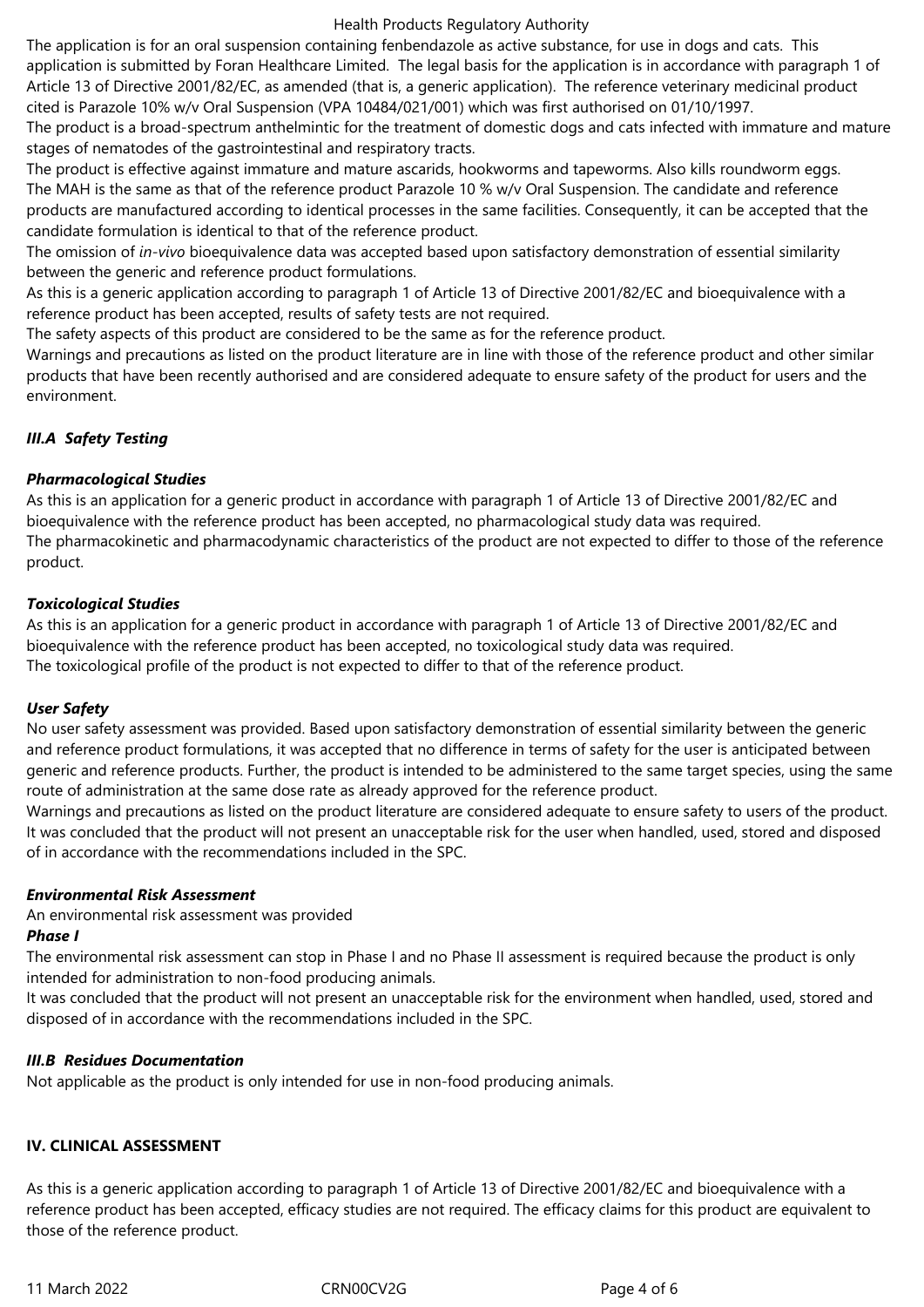### Health Products Regulatory Authority

The application is for an oral suspension containing fenbendazole as active substance, for use in dogs and cats. This application is submitted by Foran Healthcare Limited. The legal basis for the application is in accordance with paragraph 1 of Article 13 of Directive 2001/82/EC, as amended (that is, a generic application). The reference veterinary medicinal product cited is Parazole 10% w/v Oral Suspension (VPA 10484/021/001) which was first authorised on 01/10/1997.

The product is a broad-spectrum anthelmintic for the treatment of domestic dogs and cats infected with immature and mature stages of nematodes of the gastrointestinal and respiratory tracts.

The product is effective against immature and mature ascarids, hookworms and tapeworms. Also kills roundworm eggs. The MAH is the same as that of the reference product Parazole 10 % w/v Oral Suspension. The candidate and reference products are manufactured according to identical processes in the same facilities. Consequently, it can be accepted that the candidate formulation is identical to that of the reference product.

The omission of *in-vivo* bioequivalence data was accepted based upon satisfactory demonstration of essential similarity between the generic and reference product formulations.

As this is a generic application according to paragraph 1 of Article 13 of Directive 2001/82/EC and bioequivalence with a reference product has been accepted, results of safety tests are not required.

The safety aspects of this product are considered to be the same as for the reference product.

Warnings and precautions as listed on the product literature are in line with those of the reference product and other similar products that have been recently authorised and are considered adequate to ensure safety of the product for users and the environment.

# *III.A Safety Testing*

## *Pharmacological Studies*

As this is an application for a generic product in accordance with paragraph 1 of Article 13 of Directive 2001/82/EC and bioequivalence with the reference product has been accepted, no pharmacological study data was required. The pharmacokinetic and pharmacodynamic characteristics of the product are not expected to differ to those of the reference product.

## *Toxicological Studies*

As this is an application for a generic product in accordance with paragraph 1 of Article 13 of Directive 2001/82/EC and bioequivalence with the reference product has been accepted, no toxicological study data was required. The toxicological profile of the product is not expected to differ to that of the reference product.

## *User Safety*

No user safety assessment was provided. Based upon satisfactory demonstration of essential similarity between the generic and reference product formulations, it was accepted that no difference in terms of safety for the user is anticipated between generic and reference products. Further, the product is intended to be administered to the same target species, using the same route of administration at the same dose rate as already approved for the reference product.

Warnings and precautions as listed on the product literature are considered adequate to ensure safety to users of the product. It was concluded that the product will not present an unacceptable risk for the user when handled, used, stored and disposed of in accordance with the recommendations included in the SPC.

## *Environmental Risk Assessment*

An environmental risk assessment was provided *Phase I*

The environmental risk assessment can stop in Phase I and no Phase II assessment is required because the product is only intended for administration to non-food producing animals.

It was concluded that the product will not present an unacceptable risk for the environment when handled, used, stored and disposed of in accordance with the recommendations included in the SPC.

### *III.B Residues Documentation*

Not applicable as the product is only intended for use in non-food producing animals.

## **IV. CLINICAL ASSESSMENT**

As this is a generic application according to paragraph 1 of Article 13 of Directive 2001/82/EC and bioequivalence with a reference product has been accepted, efficacy studies are not required. The efficacy claims for this product are equivalent to those of the reference product.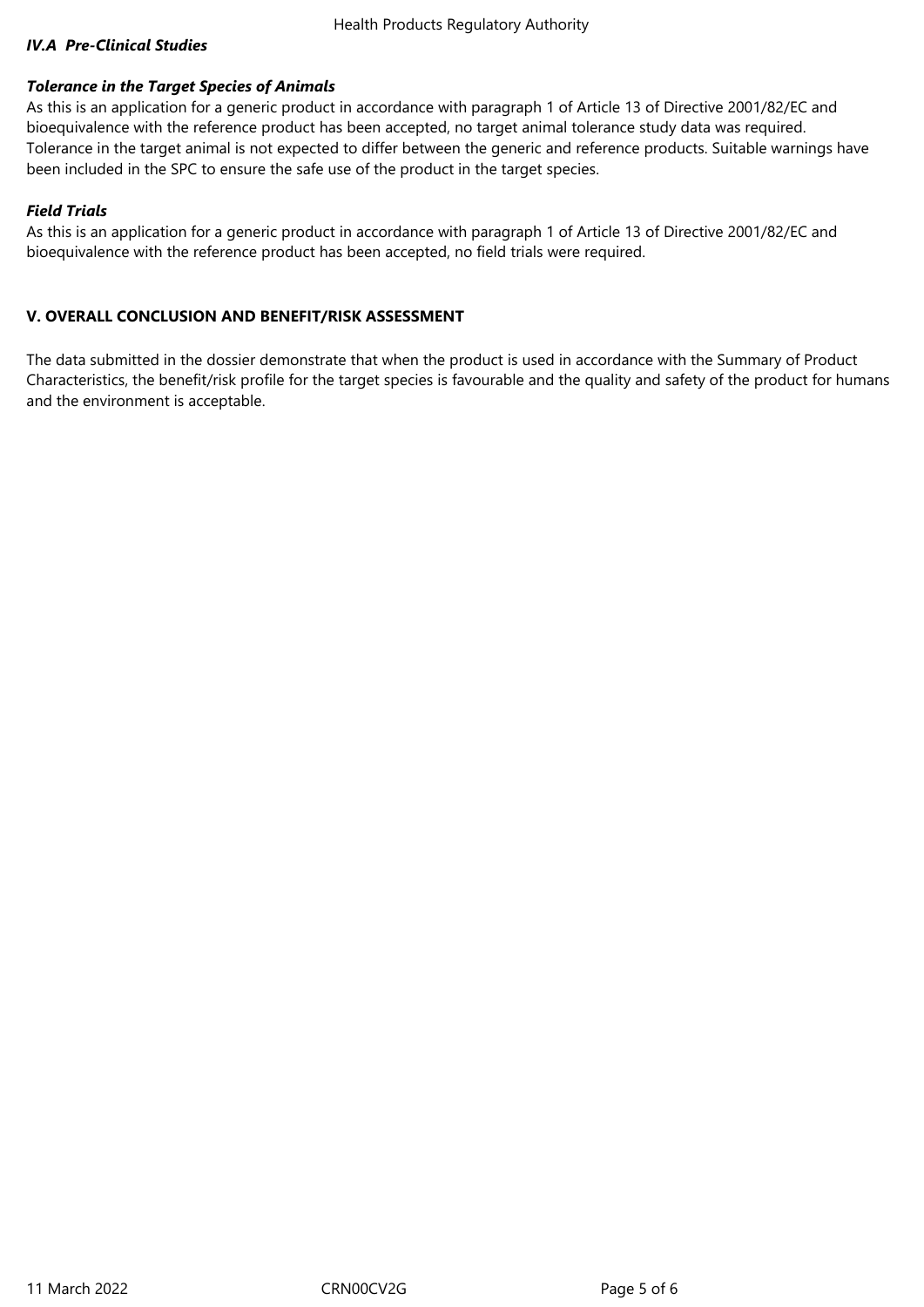## *IV.A Pre-Clinical Studies*

### *Tolerance in the Target Species of Animals*

As this is an application for a generic product in accordance with paragraph 1 of Article 13 of Directive 2001/82/EC and bioequivalence with the reference product has been accepted, no target animal tolerance study data was required. Tolerance in the target animal is not expected to differ between the generic and reference products. Suitable warnings have been included in the SPC to ensure the safe use of the product in the target species.

### *Field Trials*

As this is an application for a generic product in accordance with paragraph 1 of Article 13 of Directive 2001/82/EC and bioequivalence with the reference product has been accepted, no field trials were required.

## **V. OVERALL CONCLUSION AND BENEFIT/RISK ASSESSMENT**

The data submitted in the dossier demonstrate that when the product is used in accordance with the Summary of Product Characteristics, the benefit/risk profile for the target species is favourable and the quality and safety of the product for humans and the environment is acceptable.